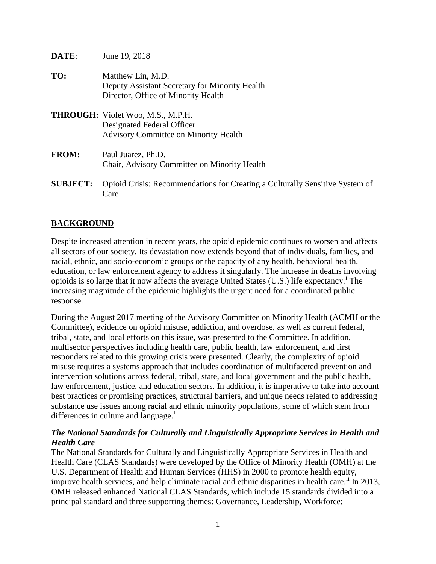| DATE:           | June 19, 2018                                                                                                          |
|-----------------|------------------------------------------------------------------------------------------------------------------------|
| TO:             | Matthew Lin, M.D.<br>Deputy Assistant Secretary for Minority Health<br>Director, Office of Minority Health             |
|                 | <b>THROUGH:</b> Violet Woo, M.S., M.P.H.<br>Designated Federal Officer<br><b>Advisory Committee on Minority Health</b> |
| <b>FROM:</b>    | Paul Juarez, Ph.D.<br>Chair, Advisory Committee on Minority Health                                                     |
| <b>SUBJECT:</b> | Opioid Crisis: Recommendations for Creating a Culturally Sensitive<br>Care                                             |

# **BACKGROUND**

Despite increased attention in recent years, the opioid epidemic continues to worsen and affects all sectors of our society. Its devastation now extends beyond that of individuals, families, and racial, ethnic, and socio-economic groups or the capacity of any health, behavioral health, education, or law enforcement agency to address it singularly. The increase in deaths involving op[i](#page-7-0)oids is so large that it now affects the average United States (U.S.) life expectancy.<sup>1</sup> The increasing magnitude of the epidemic highlights the urgent need for a coordinated public response.

**System of** 

During the August 2017 meeting of the Advisory Committee on Minority Health (ACMH or the Committee), evidence on opioid misuse, addiction, and overdose, as well as current federal, tribal, state, and local efforts on this issue, was presented to the Committee. In addition, multisector perspectives including health care, public health, law enforcement, and first responders related to this growing crisis were presented. Clearly, the complexity of opioid misuse requires a systems approach that includes coordination of multifaceted prevention and intervention solutions across federal, tribal, state, and local government and the public health, law enforcement, justice, and education sectors. In addition, it is imperative to take into account best practices or promising practices, structural barriers, and unique needs related to addressing substance use issues among racial and ethnic minority populations, some of which stem from differences in culture and language.<sup>1</sup>

#### *The National Standards for Culturally and Linguistically Appropriate Services in Health and Health Care*

The National Standards for Culturally and Linguistically Appropriate Services in Health and Health Care (CLAS Standards) were developed by the Office of Minority Health (OMH) at the U.S. Department of Health and Human Services (HHS) in 2000 to promote health equity, improve health services, and help eliminate racial and ethnic disparities in health care.<sup>[ii](#page-7-1)</sup> In 2013, OMH released enhanced National CLAS Standards, which include 15 standards divided into a principal standard and three supporting themes: Governance, Leadership, Workforce;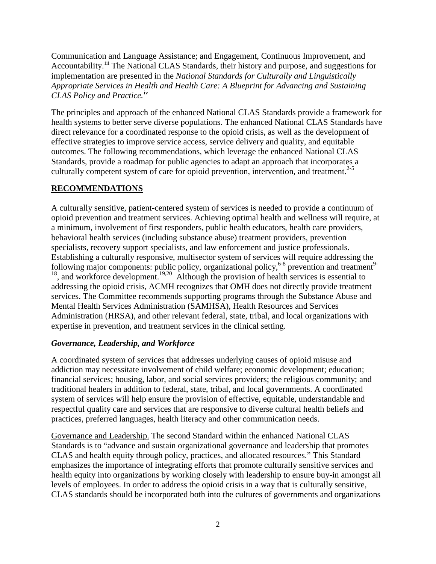Communication and Language Assistance; and Engagement, Continuous Improvement, and Accountability.<sup>[iii](#page-7-2)</sup> The National CLAS Standards, their history and purpose, and suggestions for implementation are presented in the *National Standards for Culturally and Linguistically Appropriate Services in Health and Health Care: A Blueprint for Advancing and Sustaining CLAS Policy and Practice.* [iv](#page-7-3)

The principles and approach of the enhanced National CLAS Standards provide a framework for health systems to better serve diverse populations. The enhanced National CLAS Standards have direct relevance for a coordinated response to the opioid crisis, as well as the development of effective strategies to improve service access, service delivery and quality, and equitable outcomes. The following recommendations, which leverage the enhanced National CLAS Standards, provide a roadmap for public agencies to adapt an approach that incorporates a culturally competent system of care for opioid prevention, intervention, and treatment.<sup>2-5</sup>

### **RECOMMENDATIONS**

A culturally sensitive, patient-centered system of services is needed to provide a continuum of opioid prevention and treatment services. Achieving optimal health and wellness will require, at a minimum, involvement of first responders, public health educators, health care providers, behavioral health services (including substance abuse) treatment providers, prevention specialists, recovery support specialists, and law enforcement and justice professionals. Establishing a culturally responsive, multisector system of services will require addressing the following major components: public policy, organizational policy,<sup>6-8</sup> prevention and treatment<sup>9-</sup> <sup>18</sup>, and workforce development.<sup>19,20</sup> Although the provision of health services is essential to addressing the opioid crisis, ACMH recognizes that OMH does not directly provide treatment services. The Committee recommends supporting programs through the Substance Abuse and Mental Health Services Administration (SAMHSA), Health Resources and Services Administration (HRSA), and other relevant federal, state, tribal, and local organizations with expertise in prevention, and treatment services in the clinical setting.

### *Governance, Leadership, and Workforce*

A coordinated system of services that addresses underlying causes of opioid misuse and addiction may necessitate involvement of child welfare; economic development; education; financial services; housing, labor, and social services providers; the religious community; and traditional healers in addition to federal, state, tribal, and local governments. A coordinated system of services will help ensure the provision of effective, equitable, understandable and respectful quality care and services that are responsive to diverse cultural health beliefs and practices, preferred languages, health literacy and other communication needs.

Governance and Leadership. The second Standard within the enhanced National CLAS Standards is to "advance and sustain organizational governance and leadership that promotes CLAS and health equity through policy, practices, and allocated resources." This Standard emphasizes the importance of integrating efforts that promote culturally sensitive services and health equity into organizations by working closely with leadership to ensure buy-in amongst all levels of employees. In order to address the opioid crisis in a way that is culturally sensitive, CLAS standards should be incorporated both into the cultures of governments and organizations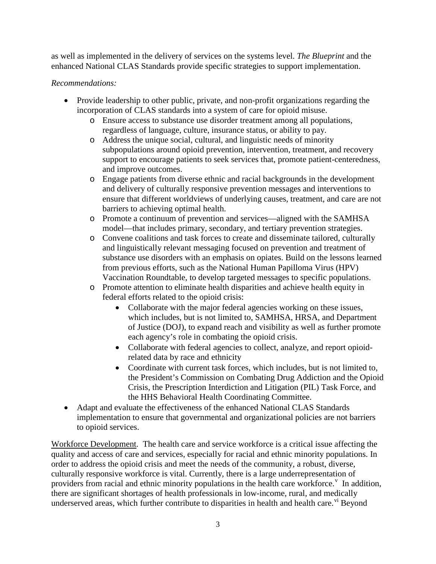as well as implemented in the delivery of services on the systems level. *The Blueprint* and the enhanced National CLAS Standards provide specific strategies to support implementation.

### *Recommendations:*

- Provide leadership to other public, private, and non-profit organizations regarding the incorporation of CLAS standards into a system of care for opioid misuse.
	- o Ensure access to substance use disorder treatment among all populations, regardless of language, culture, insurance status, or ability to pay.
	- o Address the unique social, cultural, and linguistic needs of minority subpopulations around opioid prevention, intervention, treatment, and recovery support to encourage patients to seek services that, promote patient-centeredness, and improve outcomes.
	- o Engage patients from diverse ethnic and racial backgrounds in the development and delivery of culturally responsive prevention messages and interventions to ensure that different worldviews of underlying causes, treatment, and care are not barriers to achieving optimal health.
	- o Promote a continuum of prevention and services—aligned with the SAMHSA model—that includes primary, secondary, and tertiary prevention strategies.
	- o Convene coalitions and task forces to create and disseminate tailored, culturally and linguistically relevant messaging focused on prevention and treatment of substance use disorders with an emphasis on opiates. Build on the lessons learned from previous efforts, such as the National Human Papilloma Virus (HPV) Vaccination Roundtable, to develop targeted messages to specific populations.
	- o Promote attention to eliminate health disparities and achieve health equity in federal efforts related to the opioid crisis:
		- Collaborate with the major federal agencies working on these issues, which includes, but is not limited to, SAMHSA, HRSA, and Department of Justice (DOJ), to expand reach and visibility as well as further promote each agency's role in combating the opioid crisis.
		- Collaborate with federal agencies to collect, analyze, and report opioidrelated data by race and ethnicity
		- Coordinate with current task forces, which includes, but is not limited to, the President's Commission on Combating Drug Addiction and the Opioid Crisis, the Prescription Interdiction and Litigation (PIL) Task Force, and the HHS Behavioral Health Coordinating Committee.
- Adapt and evaluate the effectiveness of the enhanced National CLAS Standards implementation to ensure that governmental and organizational policies are not barriers to opioid services.

Workforce Development. The health care and service workforce is a critical issue affecting the quality and access of care and services, especially for racial and ethnic minority populations. In order to address the opioid crisis and meet the needs of the community, a robust, diverse, culturally responsive workforce is vital. Currently, there is a large underrepresentation of pro[v](#page-7-4)iders from racial and ethnic minority populations in the health care workforce.<sup> $v$ </sup> In addition, there are significant shortages of health professionals in low-income, rural, and medically underserved areas, which further contribute to disparities in health and health care.<sup>[vi](#page-7-5)</sup> Beyond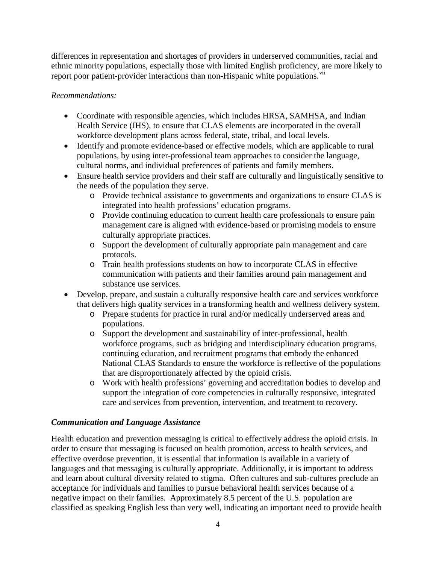differences in representation and shortages of providers in underserved communities, racial and ethnic minority populations, especially those with limited English proficiency, are more likely to report poor patient-provider interactions than non-Hispanic white populations.<sup>[vii](#page-7-6)</sup>

### *Recommendations:*

- Coordinate with responsible agencies, which includes HRSA, SAMHSA, and Indian Health Service (IHS), to ensure that CLAS elements are incorporated in the overall workforce development plans across federal, state, tribal, and local levels.
- Identify and promote evidence-based or effective models, which are applicable to rural populations, by using inter-professional team approaches to consider the language, cultural norms, and individual preferences of patients and family members.
- Ensure health service providers and their staff are culturally and linguistically sensitive to the needs of the population they serve.
	- o Provide technical assistance to governments and organizations to ensure CLAS is integrated into health professions' education programs.
	- o Provide continuing education to current health care professionals to ensure pain management care is aligned with evidence-based or promising models to ensure culturally appropriate practices.
	- o Support the development of culturally appropriate pain management and care protocols.
	- o Train health professions students on how to incorporate CLAS in effective communication with patients and their families around pain management and substance use services.
- Develop, prepare, and sustain a culturally responsive health care and services workforce that delivers high quality services in a transforming health and wellness delivery system.
	- o Prepare students for practice in rural and/or medically underserved areas and populations.
	- o Support the development and sustainability of inter-professional, health workforce programs, such as bridging and interdisciplinary education programs, continuing education, and recruitment programs that embody the enhanced National CLAS Standards to ensure the workforce is reflective of the populations that are disproportionately affected by the opioid crisis.
	- o Work with health professions' governing and accreditation bodies to develop and support the integration of core competencies in culturally responsive, integrated care and services from prevention, intervention, and treatment to recovery.

### *Communication and Language Assistance*

Health education and prevention messaging is critical to effectively address the opioid crisis. In order to ensure that messaging is focused on health promotion, access to health services, and effective overdose prevention, it is essential that information is available in a variety of languages and that messaging is culturally appropriate. Additionally, it is important to address and learn about cultural diversity related to stigma. Often cultures and sub-cultures preclude an acceptance for individuals and families to pursue behavioral health services because of a negative impact on their families. Approximately 8.5 percent of the U.S. population are classified as speaking English less than very well, indicating an important need to provide health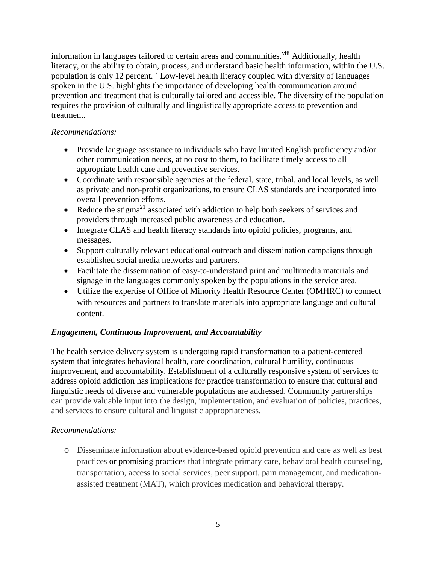information in languages tailored to certain areas and communities.<sup>[viii](#page-7-7)</sup> Additionally, health literacy, or the ability to obtain, process, and understand basic health information, within the U.S. population is only 12 percent.<sup>[ix](#page-7-8)</sup> Low-level health literacy coupled with diversity of languages spoken in the U.S. highlights the importance of developing health communication around prevention and treatment that is culturally tailored and accessible. The diversity of the population requires the provision of culturally and linguistically appropriate access to prevention and treatment.

#### *Recommendations:*

- Provide language assistance to individuals who have limited English proficiency and/or other communication needs, at no cost to them, to facilitate timely access to all appropriate health care and preventive services.
- Coordinate with responsible agencies at the federal, state, tribal, and local levels, as well as private and non-profit organizations, to ensure CLAS standards are incorporated into overall prevention efforts.
- Reduce the stigma<sup>21</sup> associated with addiction to help both seekers of services and providers through increased public awareness and education.
- Integrate CLAS and health literacy standards into opioid policies, programs, and messages.
- Support culturally relevant educational outreach and dissemination campaigns through established social media networks and partners.
- Facilitate the dissemination of easy-to-understand print and multimedia materials and signage in the languages commonly spoken by the populations in the service area.
- Utilize the expertise of Office of Minority Health Resource Center (OMHRC) to connect with resources and partners to translate materials into appropriate language and cultural content.

### *Engagement, Continuous Improvement, and Accountability*

The health service delivery system is undergoing rapid transformation to a patient-centered system that integrates behavioral health, care coordination, cultural humility, continuous improvement, and accountability. Establishment of a culturally responsive system of services to address opioid addiction has implications for practice transformation to ensure that cultural and linguistic needs of diverse and vulnerable populations are addressed. Community partnerships can provide valuable input into the design, implementation, and evaluation of policies, practices, and services to ensure cultural and linguistic appropriateness.

### *Recommendations:*

o Disseminate information about evidence-based opioid prevention and care as well as best practices or promising practices that integrate primary care, behavioral health counseling, transportation, access to social services, peer support, pain management, and medicationassisted treatment (MAT), which provides medication and behavioral therapy.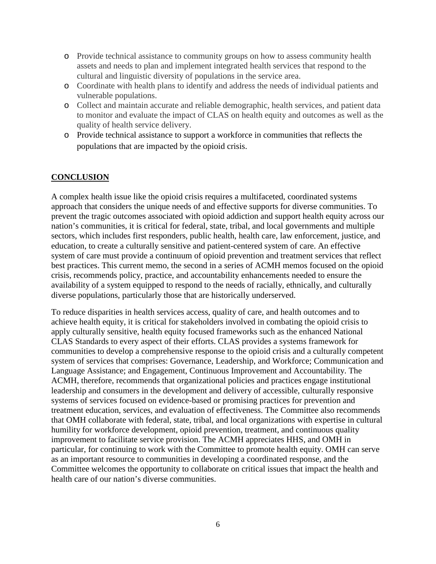- o Provide technical assistance to community groups on how to assess community health assets and needs to plan and implement integrated health services that respond to the cultural and linguistic diversity of populations in the service area.
- o Coordinate with health plans to identify and address the needs of individual patients and vulnerable populations.
- o Collect and maintain accurate and reliable demographic, health services, and patient data to monitor and evaluate the impact of CLAS on health equity and outcomes as well as the quality of health service delivery.
- o Provide technical assistance to support a workforce in communities that reflects the populations that are impacted by the opioid crisis.

# **CONCLUSION**

A complex health issue like the opioid crisis requires a multifaceted, coordinated systems approach that considers the unique needs of and effective supports for diverse communities. To prevent the tragic outcomes associated with opioid addiction and support health equity across our nation's communities, it is critical for federal, state, tribal, and local governments and multiple sectors, which includes first responders, public health, health care, law enforcement, justice, and education, to create a culturally sensitive and patient-centered system of care. An effective system of care must provide a continuum of opioid prevention and treatment services that reflect best practices. This current memo, the second in a series of ACMH memos focused on the opioid crisis, recommends policy, practice, and accountability enhancements needed to ensure the availability of a system equipped to respond to the needs of racially, ethnically, and culturally diverse populations, particularly those that are historically underserved.

To reduce disparities in health services access, quality of care, and health outcomes and to achieve health equity, it is critical for stakeholders involved in combating the opioid crisis to apply culturally sensitive, health equity focused frameworks such as the enhanced National CLAS Standards to every aspect of their efforts. CLAS provides a systems framework for communities to develop a comprehensive response to the opioid crisis and a culturally competent system of services that comprises: Governance, Leadership, and Workforce; Communication and Language Assistance; and Engagement, Continuous Improvement and Accountability. The ACMH, therefore, recommends that organizational policies and practices engage institutional leadership and consumers in the development and delivery of accessible, culturally responsive systems of services focused on evidence-based or promising practices for prevention and treatment education, services, and evaluation of effectiveness. The Committee also recommends that OMH collaborate with federal, state, tribal, and local organizations with expertise in cultural humility for workforce development, opioid prevention, treatment, and continuous quality improvement to facilitate service provision. The ACMH appreciates HHS, and OMH in particular, for continuing to work with the Committee to promote health equity. OMH can serve as an important resource to communities in developing a coordinated response, and the Committee welcomes the opportunity to collaborate on critical issues that impact the health and health care of our nation's diverse communities.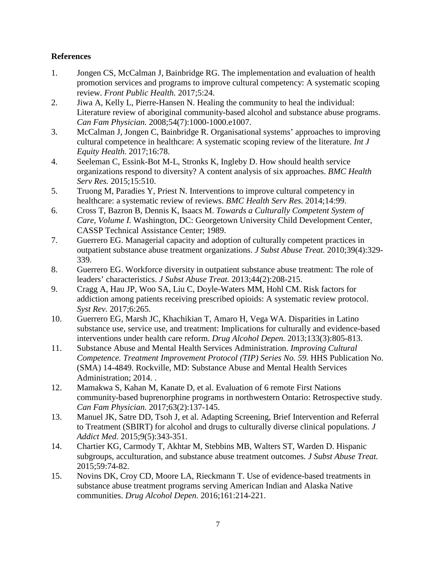# **References**

- 1. Jongen CS, McCalman J, Bainbridge RG. The implementation and evaluation of health promotion services and programs to improve cultural competency: A systematic scoping review. *Front Public Health.* 2017;5:24.
- 2. Jiwa A, Kelly L, Pierre-Hansen N. Healing the community to heal the individual: Literature review of aboriginal community-based alcohol and substance abuse programs. *Can Fam Physician.* 2008;54(7):1000-1000.e1007.
- 3. McCalman J, Jongen C, Bainbridge R. Organisational systems' approaches to improving cultural competence in healthcare: A systematic scoping review of the literature. *Int J Equity Health.* 2017;16:78.
- 4. Seeleman C, Essink-Bot M-L, Stronks K, Ingleby D. How should health service organizations respond to diversity? A content analysis of six approaches. *BMC Health Serv Res.* 2015;15:510.
- 5. Truong M, Paradies Y, Priest N. Interventions to improve cultural competency in healthcare: a systematic review of reviews. *BMC Health Serv Res.* 2014;14:99.
- 6. Cross T, Bazron B, Dennis K, Isaacs M. *Towards a Culturally Competent System of Care, Volume I.* Washington, DC: Georgetown University Child Development Center, CASSP Technical Assistance Center; 1989.
- 7. Guerrero EG. Managerial capacity and adoption of culturally competent practices in outpatient substance abuse treatment organizations. *J Subst Abuse Treat.* 2010;39(4):329- 339.
- 8. Guerrero EG. Workforce diversity in outpatient substance abuse treatment: The role of leaders' characteristics. *J Subst Abuse Treat.* 2013;44(2):208-215.
- 9. Cragg A, Hau JP, Woo SA, Liu C, Doyle-Waters MM, Hohl CM. Risk factors for addiction among patients receiving prescribed opioids: A systematic review protocol. *Syst Rev.* 2017;6:265.
- 10. Guerrero EG, Marsh JC, Khachikian T, Amaro H, Vega WA. Disparities in Latino substance use, service use, and treatment: Implications for culturally and evidence-based interventions under health care reform. *Drug Alcohol Depen.* 2013;133(3):805-813.
- 11. Substance Abuse and Mental Health Services Administration. *Improving Cultural Competence. Treatment Improvement Protocol (TIP) Series No. 59.* HHS Publication No. (SMA) 14-4849. Rockville, MD: Substance Abuse and Mental Health Services Administration; 2014. .
- 12. Mamakwa S, Kahan M, Kanate D, et al. Evaluation of 6 remote First Nations community-based buprenorphine programs in northwestern Ontario: Retrospective study. *Can Fam Physician.* 2017;63(2):137-145.
- 13. Manuel JK, Satre DD, Tsoh J, et al. Adapting Screening, Brief Intervention and Referral to Treatment (SBIRT) for alcohol and drugs to culturally diverse clinical populations. *J Addict Med.* 2015;9(5):343-351.
- 14. Chartier KG, Carmody T, Akhtar M, Stebbins MB, Walters ST, Warden D. Hispanic subgroups, acculturation, and substance abuse treatment outcomes. *J Subst Abuse Treat.*  2015;59:74-82.
- 15. Novins DK, Croy CD, Moore LA, Rieckmann T. Use of evidence-based treatments in substance abuse treatment programs serving American Indian and Alaska Native communities. *Drug Alcohol Depen.* 2016;161:214-221.